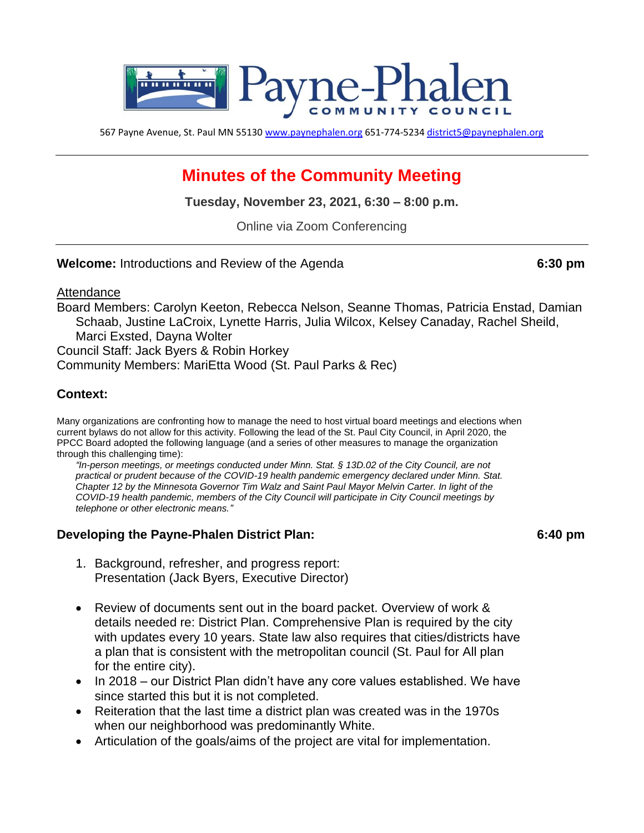

567 Payne Avenue, St. Paul MN 55130 [www.paynephalen.org](http://www.paynephalen.org/) 651-774-5234 [district5@paynephalen.org](mailto:district5@paynephalen.org)

# **Minutes of the Community Meeting**

**Tuesday, November 23, 2021, 6:30 – 8:00 p.m.**

Online via Zoom Conferencing

**Welcome:** Introductions and Review of the Agenda **6:30 pm**

Attendance

Board Members: Carolyn Keeton, Rebecca Nelson, Seanne Thomas, Patricia Enstad, Damian Schaab, Justine LaCroix, Lynette Harris, Julia Wilcox, Kelsey Canaday, Rachel Sheild, Marci Exsted, Dayna Wolter Council Staff: Jack Byers & Robin Horkey

Community Members: MariEtta Wood (St. Paul Parks & Rec)

#### **Context:**

Many organizations are confronting how to manage the need to host virtual board meetings and elections when current bylaws do not allow for this activity. Following the lead of the St. Paul City Council, in April 2020, the PPCC Board adopted the following language (and a series of other measures to manage the organization through this challenging time):

*"In-person meetings, or meetings conducted under Minn. Stat. § 13D.02 of the City Council, are not practical or prudent because of the COVID-19 health pandemic emergency declared under Minn. Stat. Chapter 12 by the Minnesota Governor Tim Walz and Saint Paul Mayor Melvin Carter. In light of the COVID-19 health pandemic, members of the City Council will participate in City Council meetings by telephone or other electronic means."*

#### **Developing the Payne-Phalen District Plan: 6:40 pm**

- 1. Background, refresher, and progress report: Presentation (Jack Byers, Executive Director)
- Review of documents sent out in the board packet. Overview of work & details needed re: District Plan. Comprehensive Plan is required by the city with updates every 10 years. State law also requires that cities/districts have a plan that is consistent with the metropolitan council (St. Paul for All plan for the entire city).
- In 2018 our District Plan didn't have any core values established. We have since started this but it is not completed.
- Reiteration that the last time a district plan was created was in the 1970s when our neighborhood was predominantly White.
- Articulation of the goals/aims of the project are vital for implementation.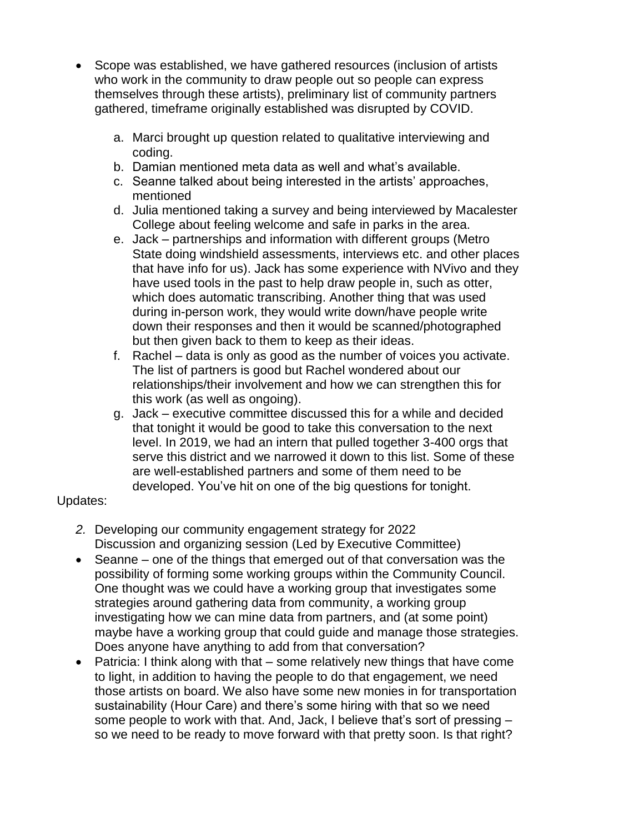- Scope was established, we have gathered resources (inclusion of artists who work in the community to draw people out so people can express themselves through these artists), preliminary list of community partners gathered, timeframe originally established was disrupted by COVID.
	- a. Marci brought up question related to qualitative interviewing and coding.
	- b. Damian mentioned meta data as well and what's available.
	- c. Seanne talked about being interested in the artists' approaches, mentioned
	- d. Julia mentioned taking a survey and being interviewed by Macalester College about feeling welcome and safe in parks in the area.
	- e. Jack partnerships and information with different groups (Metro State doing windshield assessments, interviews etc. and other places that have info for us). Jack has some experience with NVivo and they have used tools in the past to help draw people in, such as otter, which does automatic transcribing. Another thing that was used during in-person work, they would write down/have people write down their responses and then it would be scanned/photographed but then given back to them to keep as their ideas.
	- f. Rachel data is only as good as the number of voices you activate. The list of partners is good but Rachel wondered about our relationships/their involvement and how we can strengthen this for this work (as well as ongoing).
	- g. Jack executive committee discussed this for a while and decided that tonight it would be good to take this conversation to the next level. In 2019, we had an intern that pulled together 3-400 orgs that serve this district and we narrowed it down to this list. Some of these are well-established partners and some of them need to be developed. You've hit on one of the big questions for tonight.

# Updates:

- *2.* Developing our community engagement strategy for 2022 Discussion and organizing session (Led by Executive Committee)
- Seanne one of the things that emerged out of that conversation was the possibility of forming some working groups within the Community Council. One thought was we could have a working group that investigates some strategies around gathering data from community, a working group investigating how we can mine data from partners, and (at some point) maybe have a working group that could guide and manage those strategies. Does anyone have anything to add from that conversation?
- Patricia: I think along with that some relatively new things that have come to light, in addition to having the people to do that engagement, we need those artists on board. We also have some new monies in for transportation sustainability (Hour Care) and there's some hiring with that so we need some people to work with that. And, Jack, I believe that's sort of pressing – so we need to be ready to move forward with that pretty soon. Is that right?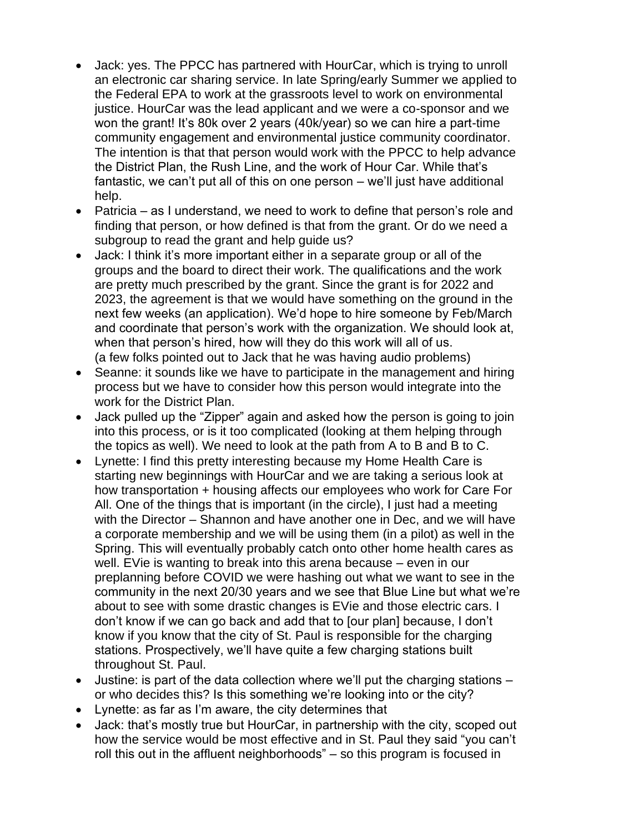- Jack: yes. The PPCC has partnered with HourCar, which is trying to unroll an electronic car sharing service. In late Spring/early Summer we applied to the Federal EPA to work at the grassroots level to work on environmental justice. HourCar was the lead applicant and we were a co-sponsor and we won the grant! It's 80k over 2 years (40k/year) so we can hire a part-time community engagement and environmental justice community coordinator. The intention is that that person would work with the PPCC to help advance the District Plan, the Rush Line, and the work of Hour Car. While that's fantastic, we can't put all of this on one person – we'll just have additional help.
- Patricia as I understand, we need to work to define that person's role and finding that person, or how defined is that from the grant. Or do we need a subgroup to read the grant and help guide us?
- Jack: I think it's more important either in a separate group or all of the groups and the board to direct their work. The qualifications and the work are pretty much prescribed by the grant. Since the grant is for 2022 and 2023, the agreement is that we would have something on the ground in the next few weeks (an application). We'd hope to hire someone by Feb/March and coordinate that person's work with the organization. We should look at, when that person's hired, how will they do this work will all of us. (a few folks pointed out to Jack that he was having audio problems)
- Seanne: it sounds like we have to participate in the management and hiring process but we have to consider how this person would integrate into the work for the District Plan.
- Jack pulled up the "Zipper" again and asked how the person is going to join into this process, or is it too complicated (looking at them helping through the topics as well). We need to look at the path from A to B and B to C.
- Lynette: I find this pretty interesting because my Home Health Care is starting new beginnings with HourCar and we are taking a serious look at how transportation + housing affects our employees who work for Care For All. One of the things that is important (in the circle), I just had a meeting with the Director – Shannon and have another one in Dec, and we will have a corporate membership and we will be using them (in a pilot) as well in the Spring. This will eventually probably catch onto other home health cares as well. EVie is wanting to break into this arena because – even in our preplanning before COVID we were hashing out what we want to see in the community in the next 20/30 years and we see that Blue Line but what we're about to see with some drastic changes is EVie and those electric cars. I don't know if we can go back and add that to [our plan] because, I don't know if you know that the city of St. Paul is responsible for the charging stations. Prospectively, we'll have quite a few charging stations built throughout St. Paul.
- Justine: is part of the data collection where we'll put the charging stations or who decides this? Is this something we're looking into or the city?
- Lynette: as far as I'm aware, the city determines that
- Jack: that's mostly true but HourCar, in partnership with the city, scoped out how the service would be most effective and in St. Paul they said "you can't roll this out in the affluent neighborhoods" – so this program is focused in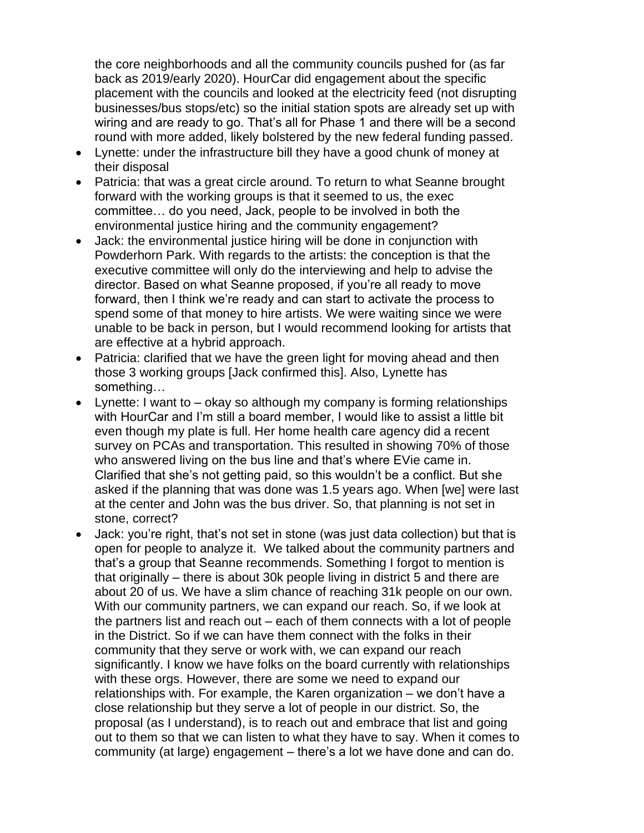the core neighborhoods and all the community councils pushed for (as far back as 2019/early 2020). HourCar did engagement about the specific placement with the councils and looked at the electricity feed (not disrupting businesses/bus stops/etc) so the initial station spots are already set up with wiring and are ready to go. That's all for Phase 1 and there will be a second round with more added, likely bolstered by the new federal funding passed.

- Lynette: under the infrastructure bill they have a good chunk of money at their disposal
- Patricia: that was a great circle around. To return to what Seanne brought forward with the working groups is that it seemed to us, the exec committee… do you need, Jack, people to be involved in both the environmental justice hiring and the community engagement?
- Jack: the environmental justice hiring will be done in conjunction with Powderhorn Park. With regards to the artists: the conception is that the executive committee will only do the interviewing and help to advise the director. Based on what Seanne proposed, if you're all ready to move forward, then I think we're ready and can start to activate the process to spend some of that money to hire artists. We were waiting since we were unable to be back in person, but I would recommend looking for artists that are effective at a hybrid approach.
- Patricia: clarified that we have the green light for moving ahead and then those 3 working groups [Jack confirmed this]. Also, Lynette has something…
- Lynette: I want to okay so although my company is forming relationships with HourCar and I'm still a board member, I would like to assist a little bit even though my plate is full. Her home health care agency did a recent survey on PCAs and transportation. This resulted in showing 70% of those who answered living on the bus line and that's where EVie came in. Clarified that she's not getting paid, so this wouldn't be a conflict. But she asked if the planning that was done was 1.5 years ago. When [we] were last at the center and John was the bus driver. So, that planning is not set in stone, correct?
- Jack: you're right, that's not set in stone (was just data collection) but that is open for people to analyze it. We talked about the community partners and that's a group that Seanne recommends. Something I forgot to mention is that originally – there is about 30k people living in district 5 and there are about 20 of us. We have a slim chance of reaching 31k people on our own. With our community partners, we can expand our reach. So, if we look at the partners list and reach out – each of them connects with a lot of people in the District. So if we can have them connect with the folks in their community that they serve or work with, we can expand our reach significantly. I know we have folks on the board currently with relationships with these orgs. However, there are some we need to expand our relationships with. For example, the Karen organization – we don't have a close relationship but they serve a lot of people in our district. So, the proposal (as I understand), is to reach out and embrace that list and going out to them so that we can listen to what they have to say. When it comes to community (at large) engagement – there's a lot we have done and can do.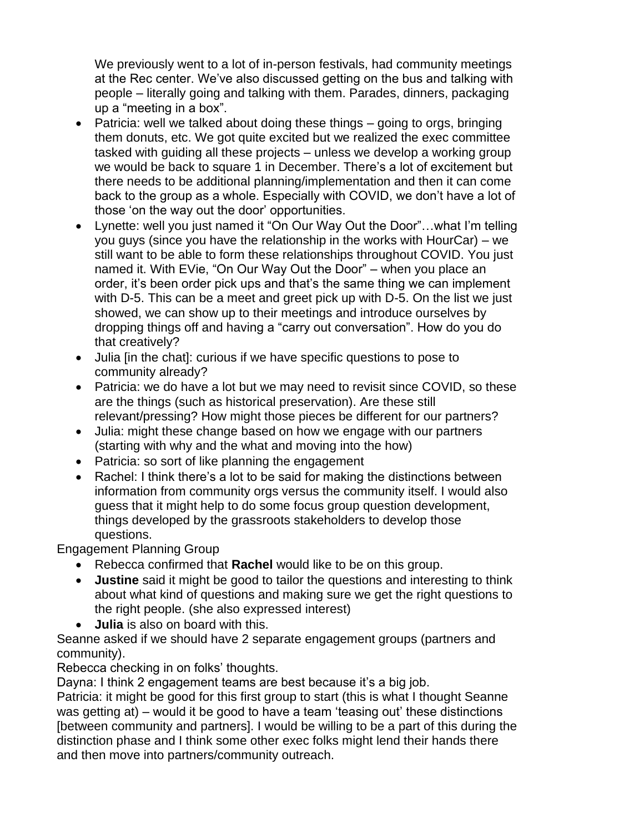We previously went to a lot of in-person festivals, had community meetings at the Rec center. We've also discussed getting on the bus and talking with people – literally going and talking with them. Parades, dinners, packaging up a "meeting in a box".

- Patricia: well we talked about doing these things going to orgs, bringing them donuts, etc. We got quite excited but we realized the exec committee tasked with guiding all these projects – unless we develop a working group we would be back to square 1 in December. There's a lot of excitement but there needs to be additional planning/implementation and then it can come back to the group as a whole. Especially with COVID, we don't have a lot of those 'on the way out the door' opportunities.
- Lynette: well you just named it "On Our Way Out the Door"...what I'm telling you guys (since you have the relationship in the works with HourCar) – we still want to be able to form these relationships throughout COVID. You just named it. With EVie, "On Our Way Out the Door" – when you place an order, it's been order pick ups and that's the same thing we can implement with D-5. This can be a meet and greet pick up with D-5. On the list we just showed, we can show up to their meetings and introduce ourselves by dropping things off and having a "carry out conversation". How do you do that creatively?
- Julia [in the chat]: curious if we have specific questions to pose to community already?
- Patricia: we do have a lot but we may need to revisit since COVID, so these are the things (such as historical preservation). Are these still relevant/pressing? How might those pieces be different for our partners?
- Julia: might these change based on how we engage with our partners (starting with why and the what and moving into the how)
- Patricia: so sort of like planning the engagement
- Rachel: I think there's a lot to be said for making the distinctions between information from community orgs versus the community itself. I would also guess that it might help to do some focus group question development, things developed by the grassroots stakeholders to develop those questions.

Engagement Planning Group

- Rebecca confirmed that **Rachel** would like to be on this group.
- **Justine** said it might be good to tailor the questions and interesting to think about what kind of questions and making sure we get the right questions to the right people. (she also expressed interest)
- **Julia** is also on board with this.

Seanne asked if we should have 2 separate engagement groups (partners and community).

Rebecca checking in on folks' thoughts.

Dayna: I think 2 engagement teams are best because it's a big job.

Patricia: it might be good for this first group to start (this is what I thought Seanne was getting at) – would it be good to have a team 'teasing out' these distinctions [between community and partners]. I would be willing to be a part of this during the distinction phase and I think some other exec folks might lend their hands there and then move into partners/community outreach.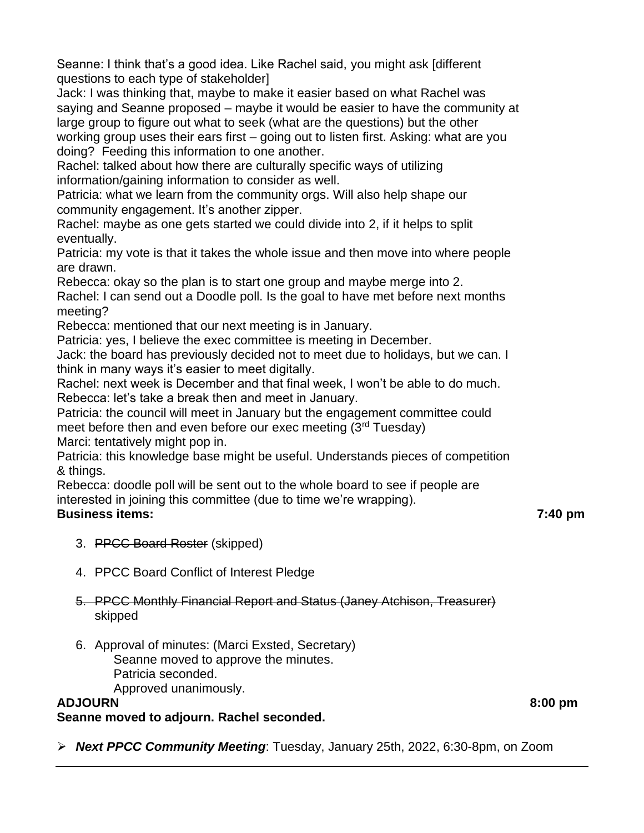Seanne: I think that's a good idea. Like Rachel said, you might ask [different questions to each type of stakeholder]

Jack: I was thinking that, maybe to make it easier based on what Rachel was saying and Seanne proposed – maybe it would be easier to have the community at large group to figure out what to seek (what are the questions) but the other working group uses their ears first – going out to listen first. Asking: what are you doing? Feeding this information to one another.

Rachel: talked about how there are culturally specific ways of utilizing information/gaining information to consider as well.

Patricia: what we learn from the community orgs. Will also help shape our community engagement. It's another zipper.

Rachel: maybe as one gets started we could divide into 2, if it helps to split eventually.

Patricia: my vote is that it takes the whole issue and then move into where people are drawn.

Rebecca: okay so the plan is to start one group and maybe merge into 2.

Rachel: I can send out a Doodle poll. Is the goal to have met before next months meeting?

Rebecca: mentioned that our next meeting is in January.

Patricia: yes, I believe the exec committee is meeting in December.

Jack: the board has previously decided not to meet due to holidays, but we can. I think in many ways it's easier to meet digitally.

Rachel: next week is December and that final week, I won't be able to do much. Rebecca: let's take a break then and meet in January.

Patricia: the council will meet in January but the engagement committee could

meet before then and even before our exec meeting (3<sup>rd</sup> Tuesday)

Marci: tentatively might pop in.

Patricia: this knowledge base might be useful. Understands pieces of competition & things.

Rebecca: doodle poll will be sent out to the whole board to see if people are interested in joining this committee (due to time we're wrapping).

# **Business items: 7:40 pm**

- 3. PPCC Board Roster (skipped)
- 4. PPCC Board Conflict of Interest Pledge

### 5. PPCC Monthly Financial Report and Status (Janey Atchison, Treasurer) skipped

6. Approval of minutes: (Marci Exsted, Secretary) Seanne moved to approve the minutes. Patricia seconded. Approved unanimously.

# **ADJOURN 8:00 pm**

**Seanne moved to adjourn. Rachel seconded.**

➢ *Next PPCC Community Meeting*: Tuesday, January 25th, 2022, 6:30-8pm, on Zoom